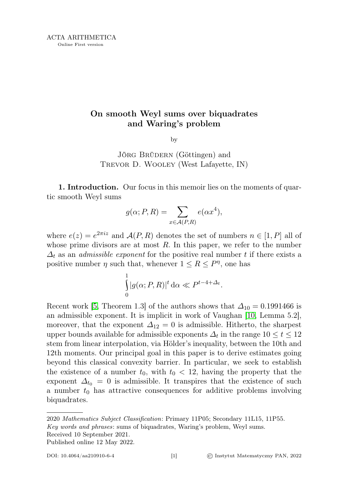## On smooth Weyl sums over biquadrates and Waring's problem

by

JÖRG BRÜDERN (Göttingen) and Trevor D. Wooley (West Lafayette, IN)

1. Introduction. Our focus in this memoir lies on the moments of quartic smooth Weyl sums

$$
g(\alpha; P, R) = \sum_{x \in \mathcal{A}(P, R)} e(\alpha x^4),
$$

where  $e(z) = e^{2\pi i z}$  and  $\mathcal{A}(P, R)$  denotes the set of numbers  $n \in [1, P]$  all of whose prime divisors are at most  $R$ . In this paper, we refer to the number  $\Delta_t$  as an *admissible exponent* for the positive real number t if there exists a positive number  $\eta$  such that, whenever  $1 \leq R \leq P^{\eta}$ , one has

$$
\int_{0}^{1} |g(\alpha; P, R)|^{t} d\alpha \ll P^{t-4+\Delta_{t}}.
$$

Recent work [\[5,](#page-20-0) Theorem 1.3] of the authors shows that  $\Delta_{10} = 0.1991466$  is an admissible exponent. It is implicit in work of Vaughan [\[10,](#page-21-0) Lemma 5.2], moreover, that the exponent  $\Delta_{12} = 0$  is admissible. Hitherto, the sharpest upper bounds available for admissible exponents  $\Delta_t$  in the range  $10 \leq t \leq 12$ stem from linear interpolation, via Hölder's inequality, between the 10th and 12th moments. Our principal goal in this paper is to derive estimates going beyond this classical convexity barrier. In particular, we seek to establish the existence of a number  $t_0$ , with  $t_0 < 12$ , having the property that the exponent  $\Delta_{t_0} = 0$  is admissible. It transpires that the existence of such a number  $t_0$  has attractive consequences for additive problems involving biquadrates.

2020 Mathematics Subject Classification: Primary 11P05; Secondary 11L15, 11P55. Key words and phrases: sums of biquadrates, Waring's problem, Weyl sums. Received 10 September 2021.

Published online 12 May 2022.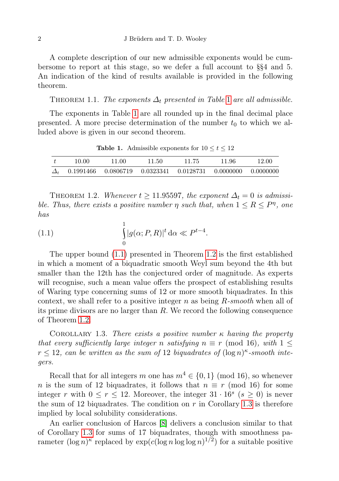A complete description of our new admissible exponents would be cumbersome to report at this stage, so we defer a full account to §§4 and 5. An indication of the kind of results available is provided in the following theorem.

<span id="page-1-0"></span>THEOREM [1](#page-1-0).1. The exponents  $\Delta_t$  presented in Table 1 are all admissible.

The exponents in Table [1](#page-1-0) are all rounded up in the final decimal place presented. A more precise determination of the number  $t_0$  to which we alluded above is given in our second theorem.

| t          | 10.00 | 11.00 | 11.50 | 11.75 | 11.96                                                                   | 12.00 |
|------------|-------|-------|-------|-------|-------------------------------------------------------------------------|-------|
| $\Delta_t$ |       |       |       |       | $0.1991466$ $0.0806719$ $0.0323341$ $0.0128731$ $0.0000000$ $0.0000000$ |       |

**Table 1.** Admissible exponents for  $10 \le t \le 12$ 

<span id="page-1-2"></span>THEOREM 1.2. Whenever  $t \ge 11.95597$ , the exponent  $\Delta_t = 0$  is admissible. Thus, there exists a positive number  $\eta$  such that, when  $1 \leq R \leq P^{\eta}$ , one has

<span id="page-1-1"></span>(1.1) 
$$
\int_{0}^{1} |g(\alpha; P, R)|^{t} d\alpha \ll P^{t-4}.
$$

The upper bound [\(1.1\)](#page-1-1) presented in Theorem [1.2](#page-1-2) is the first established in which a moment of a biquadratic smooth Weyl sum beyond the 4th but smaller than the 12th has the conjectured order of magnitude. As experts will recognise, such a mean value offers the prospect of establishing results of Waring type concerning sums of 12 or more smooth biquadrates. In this context, we shall refer to a positive integer n as being  $R\text{-}smooth$  when all of its prime divisors are no larger than R. We record the following consequence of Theorem [1.2.](#page-1-2)

<span id="page-1-3"></span>COROLLARY 1.3. There exists a positive number  $\kappa$  having the property that every sufficiently large integer n satisfying  $n \equiv r \pmod{16}$ , with  $1 \leq$  $r \leq 12$ , can be written as the sum of 12 biquadrates of  $(\log n)^{\kappa}$ -smooth integers.

Recall that for all integers m one has  $m^4 \in \{0,1\}$  (mod 16), so whenever n is the sum of 12 biquadrates, it follows that  $n \equiv r \pmod{16}$  for some integer r with  $0 \le r \le 12$ . Moreover, the integer  $31 \cdot 16^s$  ( $s \ge 0$ ) is never the sum of 12 biquadrates. The condition on  $r$  in Corollary [1.3](#page-1-3) is therefore implied by local solubility considerations.

An earlier conclusion of Harcos [\[8\]](#page-21-1) delivers a conclusion similar to that of Corollary [1.3](#page-1-3) for sums of 17 biquadrates, though with smoothness parameter  $(\log n)^{\kappa}$  replaced by  $\exp(c(\log n \log \log n)^{1/2})$  for a suitable positive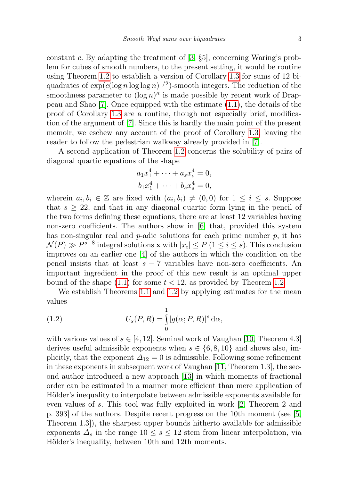constant c. By adapting the treatment of  $[3, §5]$  $[3, §5]$ , concerning Waring's problem for cubes of smooth numbers, to the present setting, it would be routine using Theorem [1.2](#page-1-2) to establish a version of Corollary [1.3](#page-1-3) for sums of 12 biquadrates of  $\exp(c(\log n \log \log n)^{1/2})$ -smooth integers. The reduction of the smoothness parameter to  $(\log n)^{\kappa}$  is made possible by recent work of Drappeau and Shao [\[7\]](#page-20-2). Once equipped with the estimate [\(1.1\)](#page-1-1), the details of the proof of Corollary [1.3](#page-1-3) are a routine, though not especially brief, modification of the argument of [\[7\]](#page-20-2). Since this is hardly the main point of the present memoir, we eschew any account of the proof of Corollary [1.3,](#page-1-3) leaving the reader to follow the pedestrian walkway already provided in [\[7\]](#page-20-2).

A second application of Theorem [1.2](#page-1-2) concerns the solubility of pairs of diagonal quartic equations of the shape

$$
a_1x_1^4 + \dots + a_s x_s^4 = 0,
$$
  

$$
b_1x_1^4 + \dots + b_s x_s^4 = 0,
$$

wherein  $a_i, b_i \in \mathbb{Z}$  are fixed with  $(a_i, b_i) \neq (0, 0)$  for  $1 \leq i \leq s$ . Suppose that  $s \geq 22$ , and that in any diagonal quartic form lying in the pencil of the two forms defining these equations, there are at least 12 variables having non-zero coefficients. The authors show in  $|6|$  that, provided this system has non-singular real and  $p$ -adic solutions for each prime number  $p$ , it has  $\mathcal{N}(P) \gg P^{s-8}$  integral solutions **x** with  $|x_i| \leq P$  ( $1 \leq i \leq s$ ). This conclusion improves on an earlier one [\[4\]](#page-20-4) of the authors in which the condition on the pencil insists that at least  $s - 7$  variables have non-zero coefficients. An important ingredient in the proof of this new result is an optimal upper bound of the shape  $(1.1)$  for some  $t < 12$ , as provided by Theorem [1.2.](#page-1-2)

We establish Theorems [1.1](#page-1-0) and [1.2](#page-1-2) by applying estimates for the mean values

<span id="page-2-0"></span>(1.2) 
$$
U_s(P,R) = \int_0^1 |g(\alpha;P,R)|^s d\alpha,
$$

with various values of  $s \in [4, 12]$ . Seminal work of Vaughan [\[10,](#page-21-0) Theorem 4.3] derives useful admissible exponents when  $s \in \{6, 8, 10\}$  and shows also, implicitly, that the exponent  $\Delta_{12}=0$  is admissible. Following some refinement in these exponents in subsequent work of Vaughan [\[11,](#page-21-2) Theorem 1.3], the second author introduced a new approach [\[13\]](#page-21-3) in which moments of fractional order can be estimated in a manner more efficient than mere application of Hölder's inequality to interpolate between admissible exponents available for even values of s. This tool was fully exploited in work [\[2,](#page-20-5) Theorem 2 and p. 393] of the authors. Despite recent progress on the 10th moment (see [\[5,](#page-20-0) Theorem 1.3]), the sharpest upper bounds hitherto available for admissible exponents  $\Delta_s$  in the range  $10 \leq s \leq 12$  stem from linear interpolation, via Hölder's inequality, between 10th and 12th moments.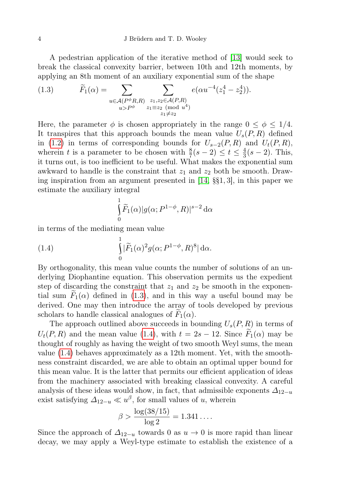A pedestrian application of the iterative method of [\[13\]](#page-21-3) would seek to break the classical convexity barrier, between 10th and 12th moments, by applying an 8th moment of an auxiliary exponential sum of the shape

<span id="page-3-0"></span>(1.3) 
$$
\widetilde{F}_1(\alpha) = \sum_{\substack{u \in \mathcal{A}(P^{\phi}R, R) \\ u > P^{\phi}}} \sum_{\substack{z_1, z_2 \in \mathcal{A}(P, R) \\ z_1 \equiv z_2 \pmod{u^4} \\ z_1 \neq z_2}} e(\alpha u^{-4}(z_1^4 - z_2^4)).
$$

Here, the parameter  $\phi$  is chosen appropriately in the range  $0 \leq \phi \leq 1/4$ . It transpires that this approach bounds the mean value  $U_s(P, R)$  defined in [\(1.2\)](#page-2-0) in terms of corresponding bounds for  $U_{s-2}(P, R)$  and  $U_t(P, R)$ , wherein t is a parameter to be chosen with  $\frac{8}{7}(s-2) \leq t \leq \frac{4}{3}$  $\frac{4}{3}(s-2)$ . This, it turns out, is too inefficient to be useful. What makes the exponential sum awkward to handle is the constraint that  $z_1$  and  $z_2$  both be smooth. Drawing inspiration from an argument presented in [\[14,](#page-21-4) §§1, 3], in this paper we estimate the auxiliary integral

$$
\int_{0}^{1} \widetilde{F}_1(\alpha)|g(\alpha; P^{1-\phi}, R)|^{s-2} d\alpha
$$

in terms of the mediating mean value

(1.4) 
$$
\int_{0}^{\overline{\mathbf{r}}} |\widetilde{F}_1(\alpha)|^2 g(\alpha; P^{1-\phi}, R)^8 |\, d\alpha.
$$

<span id="page-3-1"></span>1

By orthogonality, this mean value counts the number of solutions of an underlying Diophantine equation. This observation permits us the expedient step of discarding the constraint that  $z_1$  and  $z_2$  be smooth in the exponential sum  $F_1(\alpha)$  defined in [\(1.3\)](#page-3-0), and in this way a useful bound may be derived. One may then introduce the array of tools developed by previous scholars to handle classical analogues of  $F_1(\alpha)$ .

The approach outlined above succeeds in bounding  $U_s(P, R)$  in terms of  $U_t(P, R)$  and the mean value [\(1.4\)](#page-3-1), with  $t = 2s - 12$ . Since  $F_1(\alpha)$  may be thought of roughly as having the weight of two smooth Weyl sums, the mean value [\(1.4\)](#page-3-1) behaves approximately as a 12th moment. Yet, with the smoothness constraint discarded, we are able to obtain an optimal upper bound for this mean value. It is the latter that permits our efficient application of ideas from the machinery associated with breaking classical convexity. A careful analysis of these ideas would show, in fact, that admissible exponents  $\Delta_{12-u}$ exist satisfying  $\Delta_{12-u} \ll u^{\beta}$ , for small values of u, wherein

$$
\beta > \frac{\log(38/15)}{\log 2} = 1.341\ldots
$$

Since the approach of  $\Delta_{12-u}$  towards 0 as  $u \to 0$  is more rapid than linear decay, we may apply a Weyl-type estimate to establish the existence of a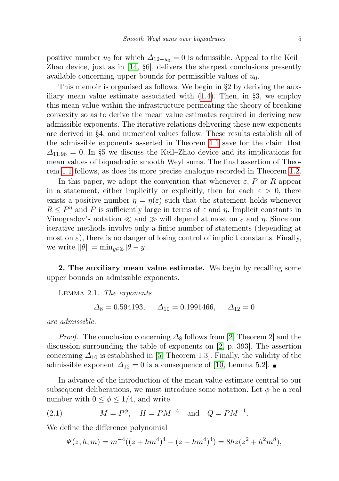positive number  $u_0$  for which  $\Delta_{12-u_0}=0$  is admissible. Appeal to the Keil– Zhao device, just as in [\[14,](#page-21-4) §6], delivers the sharpest conclusions presently available concerning upper bounds for permissible values of  $u_0$ .

This memoir is organised as follows. We begin in §2 by deriving the auxiliary mean value estimate associated with  $(1.4)$ . Then, in §3, we employ this mean value within the infrastructure permeating the theory of breaking convexity so as to derive the mean value estimates required in deriving new admissible exponents. The iterative relations delivering these new exponents are derived in §4, and numerical values follow. These results establish all of the admissible exponents asserted in Theorem [1.1](#page-1-0) save for the claim that  $\Delta_{11.96}$  = 0. In §5 we discuss the Keil–Zhao device and its implications for mean values of biquadratic smooth Weyl sums. The final assertion of Theorem [1.1](#page-1-0) follows, as does its more precise analogue recorded in Theorem [1.2.](#page-1-2)

In this paper, we adopt the convention that whenever  $\varepsilon$ , P or R appear in a statement, either implicitly or explicitly, then for each  $\varepsilon > 0$ , there exists a positive number  $\eta = \eta(\varepsilon)$  such that the statement holds whenever  $R \leq P^{\eta}$  and P is sufficiently large in terms of  $\varepsilon$  and  $\eta$ . Implicit constants in Vinogradov's notation  $\ll$  and  $\gg$  will depend at most on  $\varepsilon$  and  $\eta$ . Since our iterative methods involve only a finite number of statements (depending at most on  $\varepsilon$ ), there is no danger of losing control of implicit constants. Finally, we write  $\|\theta\| = \min_{y \in \mathbb{Z}} |\theta - y|$ .

2. The auxiliary mean value estimate. We begin by recalling some upper bounds on admissible exponents.

<span id="page-4-0"></span>Lemma 2.1. The exponents

$$
\Delta_8 = 0.594193
$$
,  $\Delta_{10} = 0.1991466$ ,  $\Delta_{12} = 0$ 

are admissible.

*Proof.* The conclusion concerning  $\Delta_8$  follows from [\[2,](#page-20-5) Theorem 2] and the discussion surrounding the table of exponents on [\[2,](#page-20-5) p. 393]. The assertion concerning  $\Delta_{10}$  is established in [\[5,](#page-20-0) Theorem 1.3]. Finally, the validity of the admissible exponent  $\Delta_{12} = 0$  is a consequence of [\[10,](#page-21-0) Lemma 5.2]. ■

In advance of the introduction of the mean value estimate central to our subsequent deliberations, we must introduce some notation. Let  $\phi$  be a real number with  $0 \leq \phi \leq 1/4$ , and write

(2.1) 
$$
M = P^{\phi}
$$
,  $H = PM^{-4}$  and  $Q = PM^{-1}$ .

We define the difference polynomial

<span id="page-4-1"></span>
$$
\Psi(z, h, m) = m^{-4}((z + hm^4)^4 - (z - hm^4)^4) = 8hz(z^2 + h^2m^8),
$$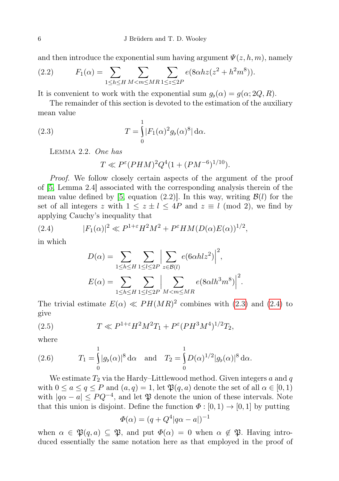and then introduce the exponential sum having argument  $\Psi(z, h, m)$ , namely

<span id="page-5-5"></span>(2.2) 
$$
F_1(\alpha) = \sum_{1 \le h \le H} \sum_{M < m \le MR} \sum_{1 \le z \le 2P} e(8\alpha h z (z^2 + h^2 m^8)).
$$

It is convenient to work with the exponential sum  $g_{\flat}(\alpha) = g(\alpha; 2Q, R)$ .

The remainder of this section is devoted to the estimation of the auxiliary mean value

(2.3) 
$$
T = \int_{0}^{1} |F_1(\alpha)^2 g_b(\alpha)^8| d\alpha.
$$

<span id="page-5-4"></span>Lemma 2.2. One has

<span id="page-5-0"></span>
$$
T \ll P^{\varepsilon} (PHM)^2 Q^4 (1 + (PM^{-6})^{1/10}).
$$

Proof. We follow closely certain aspects of the argument of the proof of [\[5,](#page-20-0) Lemma 2.4] associated with the corresponding analysis therein of the mean value defined by [\[5,](#page-20-0) equation (2.2)]. In this way, writing  $\mathcal{B}(l)$  for the set of all integers z with  $1 \le z \pm l \le 4P$  and  $z \equiv l \pmod{2}$ , we find by applying Cauchy's inequality that

(2.4) 
$$
|F_1(\alpha)|^2 \ll P^{1+\varepsilon} H^2 M^2 + P^{\varepsilon} H M (D(\alpha) E(\alpha))^{1/2},
$$

in which

<span id="page-5-1"></span>
$$
D(\alpha) = \sum_{1 \le h \le H} \sum_{1 \le l \le 2P} \left| \sum_{z \in \mathcal{B}(l)} e(6\alpha h l z^2) \right|^2,
$$
  

$$
E(\alpha) = \sum_{1 \le h \le H} \sum_{1 \le l \le 2P} \left| \sum_{M < m \le MR} e(8\alpha l h^3 m^8) \right|^2.
$$

The trivial estimate  $E(\alpha) \ll PH(MR)^2$  combines with [\(2.3\)](#page-5-0) and [\(2.4\)](#page-5-1) to give

<span id="page-5-2"></span>(2.5) 
$$
T \ll P^{1+\epsilon} H^2 M^2 T_1 + P^{\epsilon} (P H^3 M^4)^{1/2} T_2,
$$

where

<span id="page-5-3"></span>(2.6) 
$$
T_1 = \int_0^1 |g_b(\alpha)|^8 d\alpha \text{ and } T_2 = \int_0^1 D(\alpha)^{1/2} |g_b(\alpha)|^8 d\alpha.
$$

We estimate  $T_2$  via the Hardy–Littlewood method. Given integers a and q with  $0 \le a \le q \le P$  and  $(a, q) = 1$ , let  $\mathfrak{P}(q, a)$  denote the set of all  $\alpha \in [0, 1)$ with  $|q\alpha - a| \leq PQ^{-4}$ , and let  $\mathfrak P$  denote the union of these intervals. Note that this union is disjoint. Define the function  $\Phi : [0, 1) \to [0, 1]$  by putting

$$
\Phi(\alpha) = (q + Q^4 | q\alpha - a|)^{-1}
$$

when  $\alpha \in \mathfrak{P}(q, a) \subseteq \mathfrak{P}$ , and put  $\Phi(\alpha) = 0$  when  $\alpha \notin \mathfrak{P}$ . Having introduced essentially the same notation here as that employed in the proof of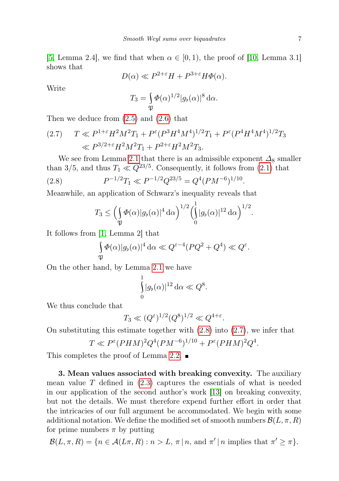[\[5,](#page-20-0) Lemma 2.4], we find that when  $\alpha \in [0,1)$ , the proof of [\[10,](#page-21-0) Lemma 3.1] shows that

$$
D(\alpha) \ll P^{2+\varepsilon}H + P^{3+\varepsilon}H\Phi(\alpha).
$$

Write

$$
T_3 = \int_{\mathfrak{P}} \Phi(\alpha)^{1/2} |g_{\flat}(\alpha)|^8 d\alpha.
$$

Then we deduce from [\(2.5\)](#page-5-2) and [\(2.6\)](#page-5-3) that

<span id="page-6-1"></span>(2.7) 
$$
T \ll P^{1+\epsilon} H^2 M^2 T_1 + P^{\epsilon} (P^3 H^4 M^4)^{1/2} T_1 + P^{\epsilon} (P^4 H^4 M^4)^{1/2} T_3
$$

$$
\ll P^{3/2+\epsilon} H^2 M^2 T_1 + P^{2+\epsilon} H^2 M^2 T_3.
$$

We see from Lemma [2.1](#page-4-0) that there is an admissible exponent  $\Delta_8$  smaller than 3/5, and thus  $T_1 \ll Q^{23/5}$ . Consequently, it follows from [\(2.1\)](#page-4-1) that  $(2.8)$  $e^{-1/2}T_1 \ll P^{-1/2}Q^{23/5} = Q^4(PM^{-6})^{1/10}.$ 

Meanwhile, an application of Schwarz's inequality reveals that

<span id="page-6-0"></span>
$$
T_3 \leq \left(\int\limits_{\mathfrak{P}} \varPhi(\alpha)|g_\flat(\alpha)|^4 \,\mathrm{d}\alpha\right)^{1/2} \left(\int\limits_0^1 |g_\flat(\alpha)|^{12} \,\mathrm{d}\alpha\right)^{1/2}.
$$

It follows from [\[1,](#page-20-6) Lemma 2] that

$$
\int_{\mathfrak{P}} \Phi(\alpha)|g_{\flat}(\alpha)|^4 d\alpha \ll Q^{\varepsilon-4} (PQ^2 + Q^4) \ll Q^{\varepsilon}.
$$

On the other hand, by Lemma [2.1](#page-4-0) we have

$$
\int_{0}^{1} |g_{\flat}(\alpha)|^{12} d\alpha \ll Q^{8}.
$$

We thus conclude that

$$
T_3 \ll (Q^{\varepsilon})^{1/2} (Q^8)^{1/2} \ll Q^{4+\varepsilon}.
$$

On substituting this estimate together with [\(2.8\)](#page-6-0) into [\(2.7\)](#page-6-1), we infer that

$$
T \ll P^{\varepsilon} (PHM)^{2} Q^{4} (PM^{-6})^{1/10} + P^{\varepsilon} (PHM)^{2} Q^{4}.
$$

This completes the proof of Lemma [2.2.](#page-5-4)  $\blacksquare$ 

3. Mean values associated with breaking convexity. The auxiliary mean value  $T$  defined in  $(2.3)$  captures the essentials of what is needed in our application of the second author's work [\[13\]](#page-21-3) on breaking convexity, but not the details. We must therefore expend further effort in order that the intricacies of our full argument be accommodated. We begin with some additional notation. We define the modified set of smooth numbers  $\mathcal{B}(L, \pi, R)$ for prime numbers  $\pi$  by putting

$$
\mathcal{B}(L,\pi,R) = \{ n \in \mathcal{A}(L\pi,R) : n > L, \pi | n, \text{ and } \pi' | n \text{ implies that } \pi' \geq \pi \}.
$$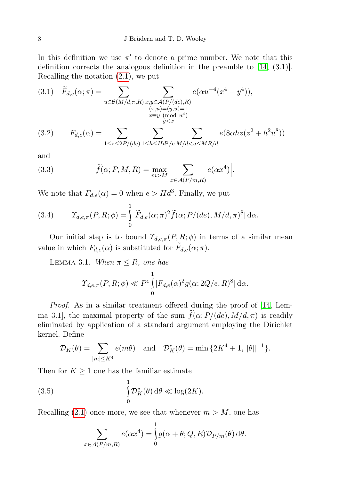In this definition we use  $\pi'$  to denote a prime number. We note that this definition corrects the analogous definition in the preamble to [\[14,](#page-21-4) (3.1)]. Recalling the notation [\(2.1\)](#page-4-1), we put

<span id="page-7-3"></span>
$$
(3.1) \quad \widetilde{F}_{d,e}(\alpha; \pi) = \sum_{\substack{u \in \mathcal{B}(M/d, \pi, R) \\ (x, u) = (y, u) = 1 \\ x \equiv y \pmod{u^4} \\ y < x}} e(\alpha u^{-4}(x^4 - y^4)),
$$

<span id="page-7-4"></span>(3.2) 
$$
F_{d,e}(\alpha) = \sum_{1 \le z \le 2P/(de)} \sum_{1 \le h \le Hd^3/e} \sum_{M/d < u \le MR/d} e(8\alpha h z (z^2 + h^2 u^8))
$$

and

<span id="page-7-0"></span>(3.3) 
$$
\widetilde{f}(\alpha; P, M, R) = \max_{m > M} \Big| \sum_{x \in \mathcal{A}(P/m, R)} e(\alpha x^4) \Big|.
$$

We note that  $F_{d,e}(\alpha) = 0$  when  $e > H d^3$ . Finally, we put

<span id="page-7-1"></span>(3.4) 
$$
\mathcal{T}_{d,e,\pi}(P,R;\phi) = \int_{0}^{1} |\widetilde{F}_{d,e}(\alpha;\pi)^2 \widetilde{f}(\alpha;P/(de),M/d,\pi)^8| d\alpha.
$$

Our initial step is to bound  $\mathcal{T}_{d,e,\pi}(P,R;\phi)$  in terms of a similar mean value in which  $F_{d,e}(\alpha)$  is substituted for  $F_{d,e}(\alpha; \pi)$ .

<span id="page-7-5"></span>LEMMA 3.1. When  $\pi \leq R$ , one has

$$
\varUpsilon_{d,e,\pi}(P,R;\phi) \ll P^{\varepsilon} \int_{0}^{1} |F_{d,e}(\alpha)|^{2} g(\alpha; 2Q/e, R)^{8} d\alpha.
$$

Proof. As in a similar treatment offered during the proof of [\[14,](#page-21-4) Lemma 3.1, the maximal property of the sum  $\tilde{f}(\alpha; P/(de), M/d, \pi)$  is readily eliminated by application of a standard argument employing the Dirichlet kernel. Define

$$
\mathcal{D}_K(\theta) = \sum_{|m| \le K^4} e(m\theta) \quad \text{and} \quad \mathcal{D}_K^*(\theta) = \min\left\{2K^4 + 1, \|\theta\|^{-1}\right\}.
$$

Then for  $K \geq 1$  one has the familiar estimate

(3.5) 
$$
\int_{0}^{1} \mathcal{D}_{K}^{*}(\theta) d\theta \ll \log(2K).
$$

Recalling [\(2.1\)](#page-4-1) once more, we see that whenever  $m > M$ , one has

<span id="page-7-2"></span>
$$
\sum_{x \in \mathcal{A}(P/m,R)} e(\alpha x^4) = \int_0^1 g(\alpha + \theta; Q, R) \mathcal{D}_{P/m}(\theta) d\theta.
$$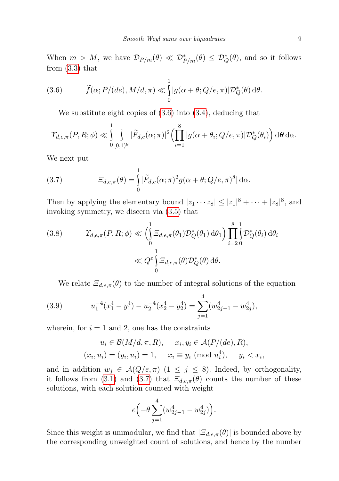When  $m > M$ , we have  $\mathcal{D}_{P/m}(\theta) \ll \mathcal{D}_{P/m}^*(\theta) \leq \mathcal{D}_{Q}^*(\theta)$ , and so it follows from [\(3.3\)](#page-7-0) that

(3.6) 
$$
\widetilde{f}(\alpha; P/(de), M/d, \pi) \ll \int_{0}^{1} |g(\alpha + \theta; Q/e, \pi)| \mathcal{D}_{Q}^{*}(\theta) d\theta.
$$

<span id="page-8-0"></span>We substitute eight copies of [\(3.6\)](#page-8-0) into [\(3.4\)](#page-7-1), deducing that

$$
\varUpsilon_{d,e,\pi}(P,R;\phi) \ll \int_{0}^{1} \int_{[0,1)^8} |\widetilde{F}_{d,e}(\alpha;\pi)|^2 \left(\prod_{i=1}^8 |g(\alpha+\theta_i;Q/e,\pi)| \mathcal{D}_Q^*(\theta_i)\right) d\theta d\alpha.
$$

We next put

<span id="page-8-1"></span>(3.7) 
$$
\Xi_{d,e,\pi}(\theta) = \int_{0}^{1} |\widetilde{F}_{d,e}(\alpha;\pi)^2 g(\alpha+\theta;Q/e,\pi)^8| d\alpha.
$$

Then by applying the elementary bound  $|z_1 \cdots z_8| \leq |z_1|^8 + \cdots + |z_8|^8$ , and invoking symmetry, we discern via [\(3.5\)](#page-7-2) that

<span id="page-8-3"></span>(3.8) 
$$
\mathcal{T}_{d,e,\pi}(P,R;\phi) \ll \left(\int_{0}^{1} \Xi_{d,e,\pi}(\theta_1) \mathcal{D}_{Q}^{*}(\theta_1) d\theta_1\right) \prod_{i=2}^{8} \int_{0}^{1} \mathcal{D}_{Q}^{*}(\theta_i) d\theta_i
$$

$$
\ll Q^{\varepsilon} \int_{0}^{1} \Xi_{d,e,\pi}(\theta) \mathcal{D}_{Q}^{*}(\theta) d\theta.
$$

<span id="page-8-2"></span>We relate  $\Xi_{d,e,\pi}(\theta)$  to the number of integral solutions of the equation

(3.9) 
$$
u_1^{-4}(x_1^4 - y_1^4) - u_2^{-4}(x_2^4 - y_2^4) = \sum_{j=1}^4 (w_{2j-1}^4 - w_{2j}^4),
$$

wherein, for  $i = 1$  and 2, one has the constraints

$$
u_i \in \mathcal{B}(M/d, \pi, R), \quad x_i, y_i \in \mathcal{A}(P/(de), R),
$$
  

$$
(x_i, u_i) = (y_i, u_i) = 1, \quad x_i \equiv y_i \pmod{u_i^4}, \quad y_i < x_i,
$$

and in addition  $w_j \in \mathcal{A}(Q/e, \pi)$  (1  $\leq j \leq 8$ ). Indeed, by orthogonality, it follows from [\(3.1\)](#page-7-3) and [\(3.7\)](#page-8-1) that  $\mathcal{Z}_{d,e,\pi}(\theta)$  counts the number of these solutions, with each solution counted with weight

$$
e\Bigl( -\theta \sum_{j=1}^4 (w_{2j-1}^4-w_{2j}^4)\Bigr).
$$

Since this weight is unimodular, we find that  $|\Xi_{de,\pi}(\theta)|$  is bounded above by the corresponding unweighted count of solutions, and hence by the number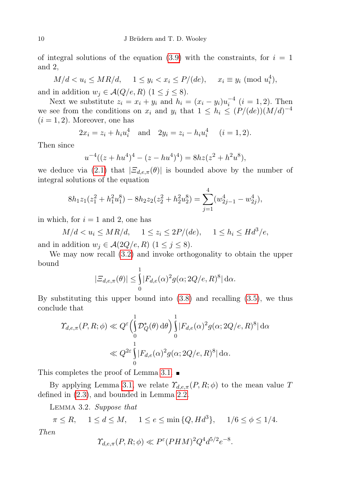of integral solutions of the equation [\(3.9\)](#page-8-2) with the constraints, for  $i = 1$ and 2,

 $M/d < u_i \le MR/d, \quad 1 \le y_i < x_i \le P/(de), \quad x_i \equiv y_i \pmod{u_i^4},$ and in addition  $w_j \in \mathcal{A}(Q/e, R)$   $(1 \leq j \leq 8)$ .

Next we substitute  $z_i = x_i + y_i$  and  $h_i = (x_i - y_i)u_i^{-4}$   $(i = 1, 2)$ . Then we see from the conditions on  $x_i$  and  $y_i$  that  $1 \leq h_i \leq (P/(de))(M/d)^{-4}$  $(i = 1, 2)$ . Moreover, one has

$$
2x_i = z_i + h_i u_i^4
$$
 and  $2y_i = z_i - h_i u_i^4$   $(i = 1, 2).$ 

Then since

$$
u^{-4}((z+hu^4)^4-(z-hu^4)^4)=8hz(z^2+h^2u^8),
$$

we deduce via [\(2.1\)](#page-4-1) that  $|\Xi_{d,e,\pi}(\theta)|$  is bounded above by the number of integral solutions of the equation

$$
8h_1z_1(z_1^2 + h_1^2u_1^8) - 8h_2z_2(z_2^2 + h_2^2u_2^8) = \sum_{j=1}^4 (w_{2j-1}^4 - w_{2j}^4),
$$

in which, for  $i = 1$  and 2, one has

 $M/d < u_i \le MR/d, \quad 1 \le z_i \le 2P/(de), \quad 1 \le h_i \le Hd^3/e,$ and in addition  $w_j \in \mathcal{A}(2Q/e, R)$   $(1 \leq j \leq 8)$ .

We may now recall [\(3.2\)](#page-7-4) and invoke orthogonality to obtain the upper bound

$$
|\Xi_{d,e,\pi}(\theta)| \leq \int_{0}^{1} |F_{d,e}(\alpha)|^{2} g(\alpha; 2Q/e, R)^{8} d\alpha.
$$

By substituting this upper bound into  $(3.8)$  and recalling  $(3.5)$ , we thus conclude that

$$
\begin{split} \varUpsilon_{d,e,\pi}(P,R;\phi) &\ll Q^{\varepsilon} \Big( \int_{0}^{1} \mathcal{D}_{Q}^{*}(\theta) \, \mathrm{d}\theta \Big) \int_{0}^{1} |F_{d,e}(\alpha)^{2} g(\alpha; 2Q/e, R)^{8}| \, \mathrm{d}\alpha \\ &\ll Q^{2\varepsilon} \int_{0}^{1} |F_{d,e}(\alpha)^{2} g(\alpha; 2Q/e, R)^{8}| \, \mathrm{d}\alpha. \end{split}
$$

This completes the proof of Lemma [3.1.](#page-7-5)  $\blacksquare$ 

By applying Lemma [3.1,](#page-7-5) we relate  $\Upsilon_{d,e,\pi}(P,R;\phi)$  to the mean value T defined in [\(2.3\)](#page-5-0), and bounded in Lemma [2.2.](#page-5-4)

<span id="page-9-0"></span>Lemma 3.2. Suppose that

$$
\pi \le R, \quad 1 \le d \le M, \quad 1 \le e \le \min\{Q, Hd^3\}, \quad 1/6 \le \phi \le 1/4.
$$
  
Then  

$$
\gamma_{d,e,\pi}(P,R;\phi) \ll P^{\varepsilon}(PHM)^2 Q^4 d^{5/2} e^{-8}.
$$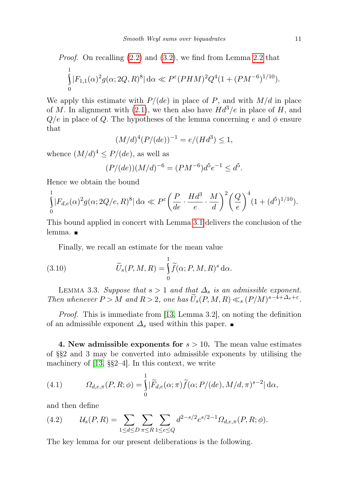*Proof.* On recalling (2.2) and (3.2), we find from Lemma 2.2 that\n
$$
\int_{0}^{1} |F_{1,1}(\alpha)^{2} g(\alpha; 2Q, R)^{8}| d\alpha \ll P^{\epsilon} (PHM)^{2} Q^{4} (1 + (PM^{-6})^{1/10}).
$$

We apply this estimate with  $P/(de)$  in place of P, and with  $M/d$  in place of M. In alignment with [\(2.1\)](#page-4-1), we then also have  $Hd^3/e$  in place of H, and  $Q/e$  in place of Q. The hypotheses of the lemma concerning e and  $\phi$  ensure that

$$
(M/d)^4 (P/(de))^{-1} = e/(Hd^3) \le 1,
$$

whence  $(M/d)^4 \le P/(de)$ , as well as

$$
(P/(de))(M/d)^{-6} = (PM^{-6})d^5e^{-1} \le d^5.
$$

Hence we obtain the bound

$$
\int_{0}^{1} |F_{d,e}(\alpha)^2 g(\alpha; 2Q/e, R)^8| d\alpha \ll P^{\varepsilon} \left(\frac{P}{de} \cdot \frac{Hd^3}{e} \cdot \frac{M}{d}\right)^2 \left(\frac{Q}{e}\right)^4 (1 + (d^5)^{1/10}).
$$

This bound applied in concert with Lemma [3.1](#page-7-5) delivers the conclusion of the lemma. **■** 

<span id="page-10-0"></span>Finally, we recall an estimate for the mean value

(3.10) 
$$
\widetilde{U}_s(P,M,R) = \int_0^1 \widetilde{f}(\alpha;P,M,R)^s d\alpha.
$$

<span id="page-10-2"></span>LEMMA 3.3. Suppose that  $s > 1$  and that  $\Delta_s$  is an admissible exponent. Then whenever  $P > M$  and  $R > 2$ , one has  $\widetilde{U}_s(P, M, R) \ll_s (P/M)^{s-4+\Delta_s+\varepsilon}$ .

Proof. This is immediate from [\[13,](#page-21-3) Lemma 3.2], on noting the definition of an admissible exponent  $\Delta_s$  used within this paper. ■

4. New admissible exponents for  $s > 10$ . The mean value estimates of §§2 and 3 may be converted into admissible exponents by utilising the machinery of [\[13,](#page-21-3) §§2–4]. In this context, we write

<span id="page-10-1"></span>(4.1) 
$$
\Omega_{d,e,\pi}(P,R;\phi) = \int_{0}^{1} |\widetilde{F}_{d,e}(\alpha;\pi)\widetilde{f}(\alpha;P/(de),M/d,\pi)^{s-2}| d\alpha,
$$

and then define

<span id="page-10-3"></span>(4.2) 
$$
\mathcal{U}_s(P,R) = \sum_{1 \le d \le D} \sum_{\pi \le R} \sum_{1 \le e \le Q} d^{2-s/2} e^{s/2-1} \Omega_{d,e,\pi}(P,R;\phi).
$$

The key lemma for our present deliberations is the following.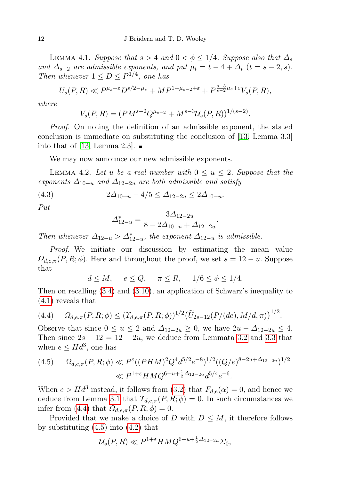<span id="page-11-2"></span>LEMMA 4.1. Suppose that  $s > 4$  and  $0 < \phi \leq 1/4$ . Suppose also that  $\Delta_s$ and  $\Delta_{s-2}$  are admissible exponents, and put  $\mu_t = t - 4 + \Delta_t$   $(t = s - 2, s)$ . Then whenever  $1 \le D \le P^{1/4}$ , one has

$$
U_s(P,R) \ll P^{\mu_s+\varepsilon} D^{s/2-\mu_s} + M P^{1+\mu_{s-2}+\varepsilon} + P^{\frac{s-3}{s-2}\mu_s+\varepsilon} V_s(P,R),
$$

where

$$
V_s(P,R) = (PM^{s-2}Q^{\mu_{s-2}} + M^{s-3}U_s(P,R))^{1/(s-2)}.
$$

Proof. On noting the definition of an admissible exponent, the stated conclusion is immediate on substituting the conclusion of [\[13,](#page-21-3) Lemma 3.3] into that of [\[13,](#page-21-3) Lemma 2.3].  $\blacksquare$ 

We may now announce our new admissible exponents.

<span id="page-11-4"></span>LEMMA 4.2. Let u be a real number with  $0 \le u \le 2$ . Suppose that the exponents  $\Delta_{10-u}$  and  $\Delta_{12-2u}$  are both admissible and satisfy

$$
(4.3) \t\t 2\Delta_{10-u} - 4/5 \le \Delta_{12-2u} \le 2\Delta_{10-u}.
$$

Put

<span id="page-11-3"></span>
$$
\Delta_{12-u}^* = \frac{3\Delta_{12-2u}}{8 - 2\Delta_{10-u} + \Delta_{12-2u}}.
$$

Then whenever  $\Delta_{12-u} > \Delta_{12-u}^*$ , the exponent  $\Delta_{12-u}$  is admissible.

Proof. We initiate our discussion by estimating the mean value  $\Omega_{d,e,\pi}(P,R;\phi)$ . Here and throughout the proof, we set  $s = 12 - u$ . Suppose that

$$
d \le M, \quad e \le Q, \quad \pi \le R, \quad 1/6 \le \phi \le 1/4.
$$

Then on recalling [\(3.4\)](#page-7-1) and [\(3.10\)](#page-10-0), an application of Schwarz's inequality to [\(4.1\)](#page-10-1) reveals that

<span id="page-11-0"></span>
$$
(4.4) \qquad \Omega_{d,e,\pi}(P,R;\phi) \leq (\Upsilon_{d,e,\pi}(P,R;\phi))^{1/2} \big(\widetilde{U}_{2s-12}(P/(de),M/d,\pi)\big)^{1/2}.
$$

Observe that since  $0 \le u \le 2$  and  $\Delta_{12-2u} \ge 0$ , we have  $2u - \Delta_{12-2u} \le 4$ . Then since  $2s - 12 = 12 - 2u$ , we deduce from Lemmata [3.2](#page-9-0) and [3.3](#page-10-2) that when  $e \leq Hd^3$ , one has

<span id="page-11-1"></span>
$$
(4.5) \qquad \Omega_{d,e,\pi}(P,R;\phi) \ll P^{\varepsilon}((PHM)^{2}Q^{4}d^{5/2}e^{-8})^{1/2}((Q/e)^{8-2u+\Delta_{12-2u}})^{1/2}
$$

$$
\ll P^{1+\varepsilon}HMQ^{6-u+\frac{1}{2}\Delta_{12-2u}}d^{5/4}e^{-6}.
$$

When  $e > Hd^3$  instead, it follows from [\(3.2\)](#page-7-4) that  $F_{d,e}(\alpha) = 0$ , and hence we deduce from Lemma [3.1](#page-7-5) that  $\mathcal{T}_{d,e,\pi}(P,R;\phi) = 0$ . In such circumstances we infer from [\(4.4\)](#page-11-0) that  $\Omega_{d,e,\pi}(P,R;\phi) = 0$ .

Provided that we make a choice of D with  $D \leq M$ , it therefore follows by substituting  $(4.5)$  into  $(4.2)$  that

$$
\mathcal{U}_s(P,R) \ll P^{1+\varepsilon} H M Q^{6-u+\frac{1}{2}\Delta_{12-2u}} \Sigma_0,
$$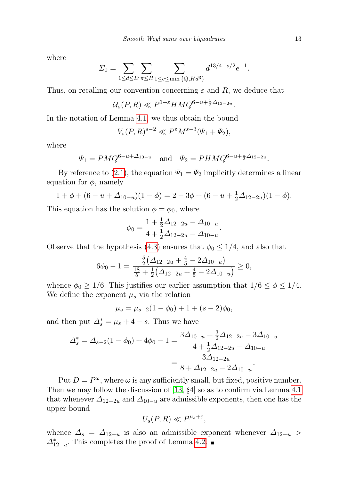where

$$
\Sigma_0 = \sum_{1 \le d \le D} \sum_{\pi \le R} \sum_{1 \le e \le \min\{Q, Hd^3\}} d^{13/4 - s/2} e^{-1}.
$$

Thus, on recalling our convention concerning  $\varepsilon$  and  $R$ , we deduce that

$$
\mathcal{U}_s(P,R) \ll P^{1+\varepsilon} H M Q^{6-u+\frac{1}{2}\Delta_{12-2u}}.
$$

In the notation of Lemma [4.1,](#page-11-2) we thus obtain the bound

$$
V_s(P,R)^{s-2} \ll P^{\varepsilon} M^{s-3}(\Psi_1 + \Psi_2),
$$

where

$$
\Psi_1 = PMQ^{6-u+\Delta_{10-u}} \quad \text{and} \quad \Psi_2 = PHMQ^{6-u+\frac{1}{2}\Delta_{12-2u}}.
$$

By reference to [\(2.1\)](#page-4-1), the equation  $\Psi_1 = \Psi_2$  implicitly determines a linear equation for  $\phi$ , namely

$$
1 + \phi + (6 - u + \Delta_{10-u})(1 - \phi) = 2 - 3\phi + (6 - u + \frac{1}{2}\Delta_{12-2u})(1 - \phi).
$$

This equation has the solution  $\phi = \phi_0$ , where

$$
\phi_0 = \frac{1 + \frac{1}{2}\Delta_{12-2u} - \Delta_{10-u}}{4 + \frac{1}{2}\Delta_{12-2u} - \Delta_{10-u}}.
$$

Observe that the hypothesis [\(4.3\)](#page-11-3) ensures that  $\phi_0 \leq 1/4$ , and also that

$$
6\phi_0 - 1 = \frac{\frac{5}{2}(\Delta_{12-2u} + \frac{4}{5} - 2\Delta_{10-u})}{\frac{18}{5} + \frac{1}{2}(\Delta_{12-2u} + \frac{4}{5} - 2\Delta_{10-u})} \ge 0,
$$

whence  $\phi_0 \geq 1/6$ . This justifies our earlier assumption that  $1/6 \leq \phi \leq 1/4$ . We define the exponent  $\mu_s$  via the relation

$$
\mu_s = \mu_{s-2}(1 - \phi_0) + 1 + (s - 2)\phi_0,
$$

and then put  $\Delta_s^* = \mu_s + 4 - s$ . Thus we have

$$
\Delta_s^* = \Delta_{s-2}(1 - \phi_0) + 4\phi_0 - 1 = \frac{3\Delta_{10-u} + \frac{3}{2}\Delta_{12-2u} - 3\Delta_{10-u}}{4 + \frac{1}{2}\Delta_{12-2u} - \Delta_{10-u}} = \frac{3\Delta_{12-2u}}{8 + \Delta_{12-2u} - 2\Delta_{10-u}}.
$$

Put  $D = P^{\omega}$ , where  $\omega$  is any sufficiently small, but fixed, positive number. Then we may follow the discussion of [\[13,](#page-21-3) §4] so as to confirm via Lemma [4.1](#page-11-2) that whenever  $\Delta_{12-2u}$  and  $\Delta_{10-u}$  are admissible exponents, then one has the upper bound

$$
U_s(P,R)\ll P^{\mu_s+\varepsilon},
$$

whence  $\Delta_s = \Delta_{12-u}$  is also an admissible exponent whenever  $\Delta_{12-u}$  $\Delta_{12-u}^*$ . This completes the proof of Lemma [4.2.](#page-11-4)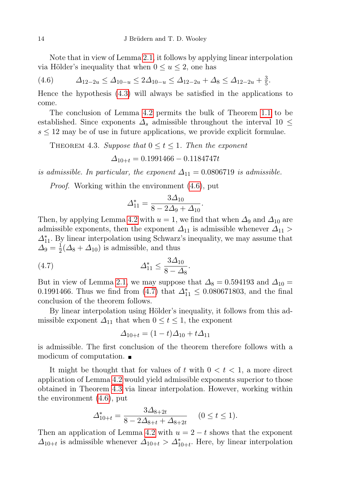Note that in view of Lemma [2.1,](#page-4-0) it follows by applying linear interpolation via Hölder's inequality that when  $0 \le u \le 2$ , one has

<span id="page-13-0"></span>
$$
(4.6) \qquad \Delta_{12-2u} \le \Delta_{10-u} \le 2\Delta_{10-u} \le \Delta_{12-2u} + \Delta_8 \le \Delta_{12-2u} + \frac{3}{5}.
$$

Hence the hypothesis [\(4.3\)](#page-11-3) will always be satisfied in the applications to come.

The conclusion of Lemma [4.2](#page-11-4) permits the bulk of Theorem [1.1](#page-1-0) to be established. Since exponents  $\Delta_s$  admissible throughout the interval 10  $\leq$  $s \leq 12$  may be of use in future applications, we provide explicit formulae.

<span id="page-13-2"></span>THEOREM 4.3. Suppose that  $0 \le t \le 1$ . Then the exponent

$$
\Delta_{10+t} = 0.1991466 - 0.1184747t
$$

is admissible. In particular, the exponent  $\Delta_{11} = 0.0806719$  is admissible.

Proof. Working within the environment [\(4.6\)](#page-13-0), put

<span id="page-13-1"></span>
$$
\Delta_{11}^* = \frac{3\Delta_{10}}{8 - 2\Delta_9 + \Delta_{10}}.
$$

Then, by applying Lemma [4.2](#page-11-4) with  $u = 1$ , we find that when  $\Delta_9$  and  $\Delta_{10}$  are admissible exponents, then the exponent  $\Delta_{11}$  is admissible whenever  $\Delta_{11}$  >  $\varDelta_{11}^{*}.$  By linear interpolation using Schwarz's inequality, we may assume that  $\Delta_9 = \frac{1}{2}$  $\frac{1}{2}(\Delta_8 + \Delta_{10})$  is admissible, and thus

(4.7) 
$$
\Delta_{11}^* \le \frac{3\Delta_{10}}{8-\Delta_8}.
$$

But in view of Lemma [2.1,](#page-4-0) we may suppose that  $\Delta_8 = 0.594193$  and  $\Delta_{10} =$ 0.1991466. Thus we find from  $(4.7)$  that  $\Delta_{11}^* \le 0.080671803$ , and the final conclusion of the theorem follows.

By linear interpolation using Hölder's inequality, it follows from this admissible exponent  $\Delta_{11}$  that when  $0 \le t \le 1$ , the exponent

$$
\Delta_{10+t} = (1-t)\Delta_{10} + t\Delta_{11}
$$

is admissible. The first conclusion of the theorem therefore follows with a modicum of computation.

It might be thought that for values of t with  $0 < t < 1$ , a more direct application of Lemma [4.2](#page-11-4) would yield admissible exponents superior to those obtained in Theorem [4.3](#page-13-2) via linear interpolation. However, working within the environment [\(4.6\)](#page-13-0), put

$$
\Delta_{10+t}^* = \frac{3\Delta_{8+2t}}{8 - 2\Delta_{8+t} + \Delta_{8+2t}} \quad (0 \le t \le 1).
$$

Then an application of Lemma [4.2](#page-11-4) with  $u = 2 - t$  shows that the exponent  $\Delta_{10+t}$  is admissible whenever  $\Delta_{10+t} > \Delta_{10+t}^*$ . Here, by linear interpolation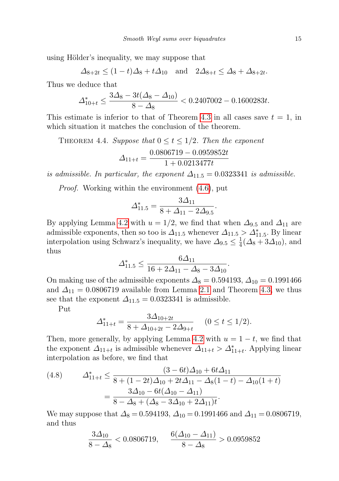using Hölder's inequality, we may suppose that

$$
\Delta_{8+2t} \le (1-t)\Delta_8 + t\Delta_{10} \quad \text{and} \quad 2\Delta_{8+t} \le \Delta_8 + \Delta_{8+2t}.
$$

Thus we deduce that

$$
\Delta_{10+t}^* \le \frac{3\Delta_8 - 3t(\Delta_8 - \Delta_{10})}{8 - \Delta_8} < 0.2407002 - 0.1600283t.
$$

This estimate is inferior to that of Theorem [4.3](#page-13-2) in all cases save  $t = 1$ , in which situation it matches the conclusion of the theorem.

<span id="page-14-1"></span>THEOREM 4.4. Suppose that  $0 \le t \le 1/2$ . Then the exponent

$$
\varDelta_{11+t}=\frac{0.0806719-0.0959852t}{1+0.0213477t}
$$

is admissible. In particular, the exponent  $\Delta_{11.5} = 0.0323341$  is admissible.

Proof. Working within the environment [\(4.6\)](#page-13-0), put

$$
\Delta_{11.5}^* = \frac{3\Delta_{11}}{8 + \Delta_{11} - 2\Delta_{9.5}}.
$$

By applying Lemma [4.2](#page-11-4) with  $u = 1/2$ , we find that when  $\Delta_{9.5}$  and  $\Delta_{11}$  are admissible exponents, then so too is  $\Delta_{11.5}$  whenever  $\Delta_{11.5} > \Delta_{11.5}^*$ . By linear interpolation using Schwarz's inequality, we have  $\Delta_{9.5} \leq \frac{1}{4}$  $\frac{1}{4}(\Delta_8 + 3\Delta_{10}), \text{ and}$ thus

$$
\Delta_{11.5}^* \le \frac{6\Delta_{11}}{16 + 2\Delta_{11} - \Delta_8 - 3\Delta_{10}}.
$$

On making use of the admissible exponents  $\Delta_8 = 0.594193, \Delta_{10} = 0.1991466$ and  $\Delta_{11} = 0.0806719$  available from Lemma [2.1](#page-4-0) and Theorem [4.3,](#page-13-2) we thus see that the exponent  $\Delta_{11.5} = 0.0323341$  is admissible.

Put

$$
\Delta_{11+t}^* = \frac{3\Delta_{10+2t}}{8 + \Delta_{10+2t} - 2\Delta_{9+t}} \quad (0 \le t \le 1/2).
$$

Then, more generally, by applying Lemma [4.2](#page-11-4) with  $u = 1 - t$ , we find that the exponent  $\Delta_{11+t}$  is admissible whenever  $\Delta_{11+t} > \Delta_{11+t}^*$ . Applying linear interpolation as before, we find that

<span id="page-14-0"></span>(4.8) 
$$
\Delta_{11+t}^* \leq \frac{(3-6t)\Delta_{10} + 6t\Delta_{11}}{8 + (1-2t)\Delta_{10} + 2t\Delta_{11} - \Delta_8(1-t) - \Delta_{10}(1+t)} = \frac{3\Delta_{10} - 6t(\Delta_{10} - \Delta_{11})}{8 - \Delta_8 + (\Delta_8 - 3\Delta_{10} + 2\Delta_{11})t}.
$$

We may suppose that  $\Delta_8 = 0.594193$ ,  $\Delta_{10} = 0.1991466$  and  $\Delta_{11} = 0.0806719$ , and thus

$$
\frac{3\Delta_{10}}{8-\Delta_8} < 0.0806719, \quad \frac{6(\Delta_{10}-\Delta_{11})}{8-\Delta_8} > 0.0959852
$$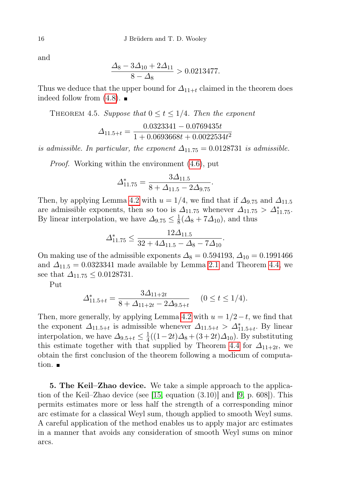and

$$
\frac{\Delta_8 - 3\Delta_{10} + 2\Delta_{11}}{8 - \Delta_8} > 0.0213477.
$$

Thus we deduce that the upper bound for  $\Delta_{11+t}$  claimed in the theorem does indeed follow from  $(4.8)$ .

<span id="page-15-0"></span>THEOREM 4.5. Suppose that  $0 \le t \le 1/4$ . Then the exponent

$$
\Delta_{11.5+t} = \frac{0.0323341 - 0.0769435t}{1 + 0.0693668t + 0.0022534t^2}
$$

is admissible. In particular, the exponent  $\Delta_{11.75} = 0.0128731$  is admissible.

Proof. Working within the environment [\(4.6\)](#page-13-0), put

$$
\Delta_{11.75}^* = \frac{3\Delta_{11.5}}{8 + \Delta_{11.5} - 2\Delta_{9.75}}.
$$

Then, by applying Lemma [4.2](#page-11-4) with  $u = 1/4$ , we find that if  $\Delta_{9.75}$  and  $\Delta_{11.5}$ are admissible exponents, then so too is  $\Delta_{11.75}$  whenever  $\Delta_{11.75} > \Delta_{11.75}^*$ . By linear interpolation, we have  $\Delta_{9.75} \leq \frac{1}{8}$  $\frac{1}{8}(\Delta_8 + 7\Delta_{10}),$  and thus

$$
\Delta_{11.75}^* \le \frac{12\Delta_{11.5}}{32 + 4\Delta_{11.5} - \Delta_8 - 7\Delta_{10}}.
$$

On making use of the admissible exponents  $\Delta_8 = 0.594193$ ,  $\Delta_{10} = 0.1991466$ and  $\Delta_{11.5} = 0.0323341$  made available by Lemma [2.1](#page-4-0) and Theorem [4.4,](#page-14-1) we see that  $\Delta_{11.75} \leq 0.0128731$ .

Put

$$
\Delta_{11.5+t}^* = \frac{3\Delta_{11+2t}}{8 + \Delta_{11+2t} - 2\Delta_{9.5+t}} \quad (0 \le t \le 1/4).
$$

Then, more generally, by applying Lemma [4.2](#page-11-4) with  $u = 1/2-t$ , we find that the exponent  $\Delta_{11.5+t}$  is admissible whenever  $\Delta_{11.5+t} > \Delta_{11.5+t}^*$ . By linear interpolation, we have  $\Delta_{9.5+t} \leq \frac{1}{4}$  $\frac{1}{4}((1-2t)\Delta_8 + (3+2t)\Delta_{10})$ . By substituting this estimate together with that supplied by Theorem [4.4](#page-14-1) for  $\Delta_{11+2t}$ , we obtain the first conclusion of the theorem following a modicum of computation.  $\blacksquare$ 

5. The Keil–Zhao device. We take a simple approach to the application of the Keil–Zhao device (see [\[15,](#page-21-5) equation (3.10)] and [\[9,](#page-21-6) p. 608]). This permits estimates more or less half the strength of a corresponding minor arc estimate for a classical Weyl sum, though applied to smooth Weyl sums. A careful application of the method enables us to apply major arc estimates in a manner that avoids any consideration of smooth Weyl sums on minor arcs.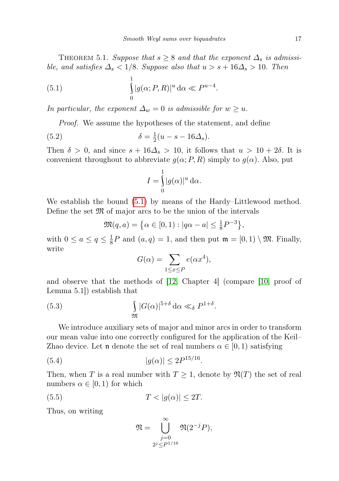<span id="page-16-5"></span>THEOREM 5.1. Suppose that  $s \geq 8$  and that the exponent  $\Delta_s$  is admissible, and satisfies  $\Delta_s < 1/8$ . Suppose also that  $u > s + 16\Delta_s > 10$ . Then

(5.1) 
$$
\int_{0}^{1} |g(\alpha; P, R)|^{u} d\alpha \ll P^{u-4}.
$$

In particular, the exponent  $\Delta_w = 0$  is admissible for  $w \geq u$ .

<span id="page-16-0"></span>Proof. We assume the hypotheses of the statement, and define

(5.2) 
$$
\delta = \frac{1}{2}(u - s - 16\Delta_s).
$$

Then  $\delta > 0$ , and since  $s + 16\Delta_s > 10$ , it follows that  $u > 10 + 2\delta$ . It is convenient throughout to abbreviate  $g(\alpha; P, R)$  simply to  $g(\alpha)$ . Also, put

<span id="page-16-1"></span>
$$
I = \int_{0}^{1} |g(\alpha)|^{u} d\alpha.
$$

We establish the bound [\(5.1\)](#page-16-0) by means of the Hardy–Littlewood method. Define the set  $\mathfrak{M}$  of major arcs to be the union of the intervals

$$
\mathfrak{M}(q,a) = \left\{ \alpha \in [0,1) : |q\alpha - a| \leq \frac{1}{8} P^{-3} \right\},\
$$

with  $0 \leq a \leq q \leq \frac{1}{8}$  $\frac{1}{8}P$  and  $(a,q) = 1$ , and then put  $\mathfrak{m} = [0,1) \setminus \mathfrak{M}$ . Finally, write

<span id="page-16-4"></span>
$$
G(\alpha) = \sum_{1 \le x \le P} e(\alpha x^4),
$$

and observe that the methods of [\[12,](#page-21-7) Chapter 4] (compare [\[10,](#page-21-0) proof of Lemma 5.1]) establish that

(5.3) 
$$
\int_{\mathfrak{M}} |G(\alpha)|^{5+\delta} d\alpha \ll_{\delta} P^{1+\delta}.
$$

We introduce auxiliary sets of major and minor arcs in order to transform our mean value into one correctly configured for the application of the Keil– Zhao device. Let n denote the set of real numbers  $\alpha \in [0,1)$  satisfying

(5.4) 
$$
|g(\alpha)| \leq 2P^{15/16}
$$

Then, when T is a real number with  $T \geq 1$ , denote by  $\mathfrak{N}(T)$  the set of real numbers  $\alpha \in [0,1)$  for which

<span id="page-16-2"></span>.

$$
(5.5) \t\t T < |g(\alpha)| \le 2T.
$$

Thus, on writing

<span id="page-16-3"></span>
$$
\mathfrak{N} = \bigcup_{\substack{j=0 \ 2^j \le P^{1/16}}}^{\infty} \mathfrak{N}(2^{-j}P),
$$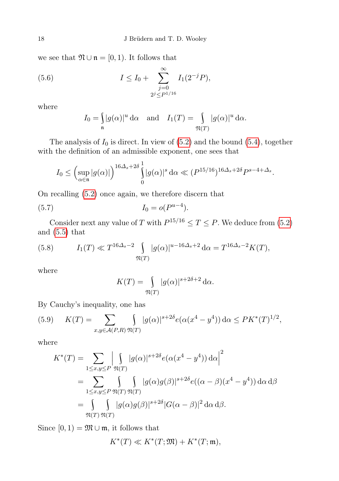we see that  $\mathfrak{N} \cup \mathfrak{n} = [0, 1)$ . It follows that

(5.6) 
$$
I \leq I_0 + \sum_{\substack{j=0 \ 2^j \leq P^{1/16}}}^{\infty} I_1(2^{-j}P),
$$

where

<span id="page-17-2"></span>
$$
I_0 = \int_{\mathfrak{n}} |g(\alpha)|^u \,d\alpha \quad \text{and} \quad I_1(T) = \int_{\mathfrak{N}(T)} |g(\alpha)|^u \,d\alpha.
$$

The analysis of  $I_0$  is direct. In view of  $(5.2)$  and the bound  $(5.4)$ , together with the definition of an admissible exponent, one sees that

$$
I_0 \leq \left(\sup_{\alpha \in \mathfrak{n}} |g(\alpha)|\right)^{16\Delta_s+2\delta} \int_0^1 |g(\alpha)|^s \, \mathrm{d}\alpha \ll (P^{15/16})^{16\Delta_s+2\delta} P^{s-4+\Delta_s}.
$$

On recalling [\(5.2\)](#page-16-1) once again, we therefore discern that

(5.7) 
$$
I_0 = o(P^{u-4}).
$$

Consider next any value of T with  $P^{15/16} \le T \le P$ . We deduce from [\(5.2\)](#page-16-1) and [\(5.5\)](#page-16-3) that

<span id="page-17-1"></span>(5.8) 
$$
I_1(T) \ll T^{16\Delta_s - 2} \int_{\mathfrak{N}(T)} |g(\alpha)|^{u - 16\Delta_s + 2} d\alpha = T^{16\Delta_s - 2} K(T),
$$

where

<span id="page-17-3"></span>
$$
K(T) = \int_{\mathfrak{N}(T)} |g(\alpha)|^{s+2\delta+2} d\alpha.
$$

By Cauchy's inequality, one has

<span id="page-17-0"></span>(5.9) 
$$
K(T) = \sum_{x,y \in \mathcal{A}(P,R)} \int_{\mathfrak{N}(T)} |g(\alpha)|^{s+2\delta} e(\alpha(x^4 - y^4)) d\alpha \le P K^*(T)^{1/2},
$$

where

$$
K^*(T) = \sum_{1 \le x, y \le P} \left| \int_{\mathfrak{N}(T)} |g(\alpha)|^{s+2\delta} e(\alpha(x^4 - y^4)) d\alpha \right|^2
$$
  
= 
$$
\sum_{1 \le x, y \le P} \int_{\mathfrak{N}(T)} \int_{\mathfrak{N}(T)} |g(\alpha)g(\beta)|^{s+2\delta} e((\alpha - \beta)(x^4 - y^4)) d\alpha d\beta
$$
  
= 
$$
\int_{\mathfrak{N}(T)} \int_{\mathfrak{N}(T)} |g(\alpha)g(\beta)|^{s+2\delta} |G(\alpha - \beta)|^2 d\alpha d\beta.
$$

Since  $[0, 1) = \mathfrak{M} \cup \mathfrak{m}$ , it follows that

$$
K^*(T) \ll K^*(T; \mathfrak{M}) + K^*(T; \mathfrak{m}),
$$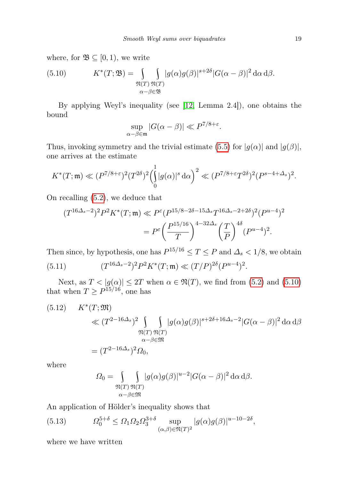where, for  $\mathfrak{B} \subseteq [0,1)$ , we write

<span id="page-18-0"></span>(5.10) 
$$
K^*(T; \mathfrak{B}) = \int_{\substack{\mathfrak{N}(T) \\ \alpha - \beta \in \mathfrak{B}}} \int_{\mathfrak{N}(T)} |g(\alpha)g(\beta)|^{s+2\delta} |G(\alpha - \beta)|^2 d\alpha d\beta.
$$

By applying Weyl's inequality (see [\[12,](#page-21-7) Lemma 2.4]), one obtains the bound

$$
\sup_{\alpha-\beta\in\mathfrak{m}}|G(\alpha-\beta)|\ll P^{7/8+\varepsilon}.
$$

Thus, invoking symmetry and the trivial estimate [\(5.5\)](#page-16-3) for  $|g(\alpha)|$  and  $|g(\beta)|$ , one arrives at the estimate

$$
K^*(T;\mathfrak{m}) \ll (P^{7/8+\varepsilon})^2 (T^{2\delta})^2 \left(\int_0^1 |g(\alpha)|^s \,d\alpha\right)^2 \ll (P^{7/8+\varepsilon} T^{2\delta})^2 (P^{s-4+\Delta_s})^2.
$$

On recalling [\(5.2\)](#page-16-1), we deduce that

$$
(T^{16\Delta_s-2})^2 P^2 K^*(T; \mathfrak{m}) \ll P^{\varepsilon} (P^{15/8-2\delta-15\Delta_s} T^{16\Delta_s-2+2\delta})^2 (P^{u-4})^2
$$

$$
= P^{\varepsilon} \left(\frac{P^{15/16}}{T}\right)^{4-32\Delta_s} \left(\frac{T}{P}\right)^{4\delta} (P^{u-4})^2.
$$

Then since, by hypothesis, one has  $P^{15/16} \le T \le P$  and  $\Delta_s < 1/8$ , we obtain

<span id="page-18-3"></span>(5.11) 
$$
(T^{16\Delta_s-2})^2 P^2 K^*(T; \mathfrak{m}) \ll (T/P)^{2\delta} (P^{u-4})^2.
$$

Next, as  $T < |g(\alpha)| \le 2T$  when  $\alpha \in \mathfrak{N}(T)$ , we find from  $(5.2)$  and  $(5.10)$ that when  $T \ge P^{15/16}$ , one has

<span id="page-18-2"></span>(5.12) 
$$
K^*(T; \mathfrak{M}) \ll (T^{2-16\Delta_s})^2 \int_{\mathfrak{M}(T)} \int_{\alpha-\beta \in \mathfrak{M}} |g(\alpha)g(\beta)|^{s+2\delta+16\Delta_s-2} |G(\alpha-\beta)|^2 d\alpha d\beta
$$

$$
= (T^{2-16\Delta_s})^2 \Omega_0,
$$

where

<span id="page-18-1"></span>
$$
\Omega_0 = \int_{\substack{\mathfrak{N}(T) \\ \alpha-\beta \in \mathfrak{M}}} |g(\alpha)g(\beta)|^{u-2} |G(\alpha-\beta)|^2 d\alpha d\beta.
$$

An application of Hölder's inequality shows that

(5.13) 
$$
\Omega_0^{5+\delta} \leq \Omega_1 \Omega_2 \Omega_3^{3+\delta} \sup_{(\alpha,\beta) \in \mathfrak{N}(T)^2} |g(\alpha)g(\beta)|^{u-10-2\delta},
$$

where we have written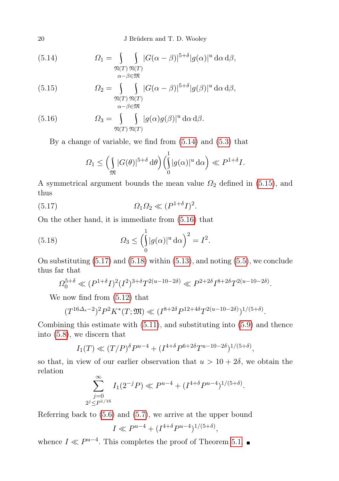20 J Brüdern and T. D. Wooley

<span id="page-19-0"></span>(5.14) 
$$
\Omega_1 = \int_{\mathfrak{N}(T)} \int_{\alpha-\beta \in \mathfrak{M}} |G(\alpha-\beta)|^{5+\delta} |g(\alpha)|^u \,d\alpha \,d\beta,
$$

<span id="page-19-1"></span>(5.15) 
$$
\Omega_2 = \int_{\substack{\mathfrak{N}(T) \\ \alpha-\beta \in \mathfrak{M}}} \int_{G(\alpha-\beta)|^{5+\delta} |g(\beta)|^u \, d\alpha \, d\beta,
$$

<span id="page-19-2"></span>(5.16) 
$$
\Omega_3 = \int_{\mathfrak{N}(T)} \int_{\mathfrak{N}(T)} |g(\alpha)g(\beta)|^u \,d\alpha \,d\beta.
$$

By a change of variable, we find from [\(5.14\)](#page-19-0) and [\(5.3\)](#page-16-4) that

<span id="page-19-3"></span>
$$
\Omega_1 \leq \left(\int\limits_{\mathfrak{M}} |G(\theta)|^{5+\delta} d\theta\right) \left(\int\limits_0^1 |g(\alpha)|^u d\alpha\right) \ll P^{1+\delta}I.
$$

A symmetrical argument bounds the mean value  $\Omega_2$  defined in [\(5.15\)](#page-19-1), and thus

$$
(5.17) \t\t \t\t \Omega_1 \Omega_2 \ll (P^{1+\delta}I)^2.
$$

On the other hand, it is immediate from [\(5.16\)](#page-19-2) that

(5.18) 
$$
\Omega_3 \le \left(\int_0^1 |g(\alpha)|^u \,d\alpha\right)^2 = I^2.
$$

On substituting  $(5.17)$  and  $(5.18)$  within  $(5.13)$ , and noting  $(5.5)$ , we conclude thus far that

<span id="page-19-4"></span>
$$
\Omega_0^{5+\delta} \ll (P^{1+\delta}I)^2 (I^2)^{3+\delta} T^{2(u-10-2\delta)} \ll P^{2+2\delta} I^{8+2\delta} T^{2(u-10-2\delta)}.
$$

We now find from [\(5.12\)](#page-18-2) that

$$
(T^{16\Delta_s-2})^2 P^2 K^*(T; \mathfrak{M}) \ll (I^{8+2\delta} P^{12+4\delta} T^{2(u-10-2\delta)})^{1/(5+\delta)}.
$$

Combining this estimate with [\(5.11\)](#page-18-3), and substituting into [\(5.9\)](#page-17-0) and thence into [\(5.8\)](#page-17-1), we discern that

$$
I_1(T) \ll (T/P)^{\delta} P^{u-4} + (I^{4+\delta} P^{6+2\delta} T^{u-10-2\delta})^{1/(5+\delta)},
$$

so that, in view of our earlier observation that  $u > 10 + 2\delta$ , we obtain the relation  $\sim$ 

$$
\sum_{\substack{j=0 \ 2^j \le P^{1/16}}}^{\infty} I_1(2^{-j}P) \ll P^{u-4} + (I^{4+\delta}P^{u-4})^{1/(5+\delta)}.
$$

Referring back to [\(5.6\)](#page-17-2) and [\(5.7\)](#page-17-3), we arrive at the upper bound

$$
I \ll P^{u-4} + (I^{4+\delta}P^{u-4})^{1/(5+\delta)},
$$

whence  $I \ll P^{u-4}$ . This completes the proof of Theorem [5.1.](#page-16-5)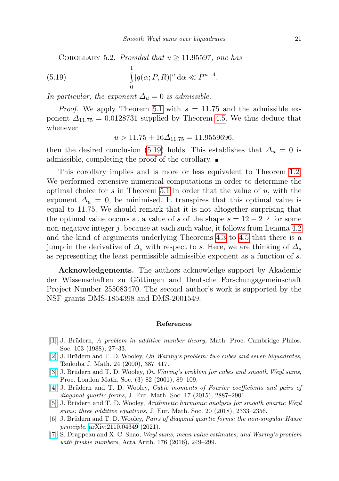COROLLARY 5.2. Provided that  $u \ge 11.95597$ , one has

(5.19) 
$$
\int_{0}^{1} |g(\alpha; P, R)|^{u} d\alpha \ll P^{u-4}.
$$

In particular, the exponent  $\Delta_u = 0$  is admissible.

*Proof.* We apply Theorem [5.1](#page-16-5) with  $s = 11.75$  and the admissible exponent  $\Delta_{11.75} = 0.0128731$  supplied by Theorem [4.5.](#page-15-0) We thus deduce that whenever

<span id="page-20-7"></span>
$$
u > 11.75 + 16\Delta_{11.75} = 11.9559696,
$$

then the desired conclusion [\(5.19\)](#page-20-7) holds. This establishes that  $\Delta_u = 0$  is admissible, completing the proof of the corollary.

This corollary implies and is more or less equivalent to Theorem [1.2.](#page-1-2) We performed extensive numerical computations in order to determine the optimal choice for s in Theorem [5.1](#page-16-5) in order that the value of  $u$ , with the exponent  $\Delta_u = 0$ , be minimised. It transpires that this optimal value is equal to 11.75. We should remark that it is not altogether surprising that the optimal value occurs at a value of s of the shape  $s = 12 - 2^{-j}$  for some non-negative integer j, because at each such value, it follows from Lemma [4.2](#page-11-4) and the kind of arguments underlying Theorems [4.3](#page-13-2) to [4.5](#page-15-0) that there is a jump in the derivative of  $\Delta_s$  with respect to s. Here, we are thinking of  $\Delta_s$ as representing the least permissible admissible exponent as a function of s.

Acknowledgements. The authors acknowledge support by Akademie der Wissenschaften zu Göttingen and Deutsche Forschungsgemeinschaft Project Number 255083470. The second author's work is supported by the NSF grants DMS-1854398 and DMS-2001549.

## References

- <span id="page-20-6"></span>[\[1\]](http://dx.doi.org/10.1017/S0305004100064586) J. Brüdern, A problem in additive number theory, Math. Proc. Cambridge Philos. Soc. 103 (1988), 27–33.
- <span id="page-20-5"></span>[\[2\]](http://dx.doi.org/10.21099/tkbjm/1496164158) J. Brüdern and T. D. Wooley, On Waring's problem: two cubes and seven biquadrates, Tsukuba J. Math. 24 (2000), 387–417.
- <span id="page-20-1"></span>[\[3\]](http://dx.doi.org/10.1112/S0024611500012624) J. Brüdern and T. D. Wooley, On Waring's problem for cubes and smooth Weyl sums, Proc. London Math. Soc. (3) 82 (2001), 89–109.
- <span id="page-20-4"></span>[\[4\]](http://dx.doi.org/10.4171/JEMS/574) J. Brüdern and T. D. Wooley, Cubic moments of Fourier coefficients and pairs of diagonal quartic forms, J. Eur. Math. Soc. 17 (2015), 2887–2901.
- <span id="page-20-0"></span>[\[5\]](http://dx.doi.org/10.4171/JEMS/813) J. Brüdern and T. D. Wooley, Arithmetic harmonic analysis for smooth quartic Weyl sums: three additive equations, J. Eur. Math. Soc. 20 (2018), 2333–2356.
- <span id="page-20-3"></span>[6] J. Brüdern and T. D. Wooley, Pairs of diagonal quartic forms: the non-singular Hasse principle, [arXiv:2110.04349](http://arxiv.org/abs/2110.04349) (2021).
- <span id="page-20-2"></span>[\[7\]](http://dx.doi.org/10.4064/aa8448-7-2016) S. Drappeau and X. C. Shao, Weyl sums, mean value estimates, and Waring's problem with friable numbers, Acta Arith. 176 (2016), 249–299.